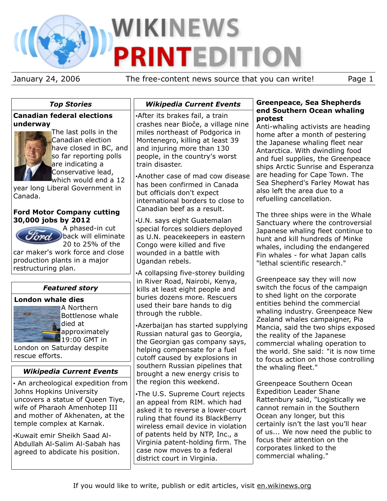# **WIKINEWS PRINTEDITION**

January 24, 2006 The free-content news source that you can write! Page 1

# *Top Stories*

## **Canadian federal elections underway**



The last polls in the Canadian election have closed in BC, and so far reporting polls are indicating a Conservative lead, which would end a 12

year long Liberal Government in Canada.

## **Ford Motor Company cutting 30,000 jobs by 2012**



A phased-in cut fored. ) back will eliminate 20 to 25% of the

car maker's work force and close production plants in a major restructuring plan.

# *Featured story*

## **London whale dies**



A Northern Bottlenose whale died at approximately **19:00 GMT in** 

London on Saturday despite rescue efforts.

# *Wikipedia Current Events*

• An archeological expedition from Johns Hopkins University uncovers a statue of Queen Tiye, wife of Pharaoh Amenhotep III and mother of Akhenaten, at the temple complex at Karnak.

•Kuwait emir Sheikh Saad Al-Abdullah Al-Salim Al-Sabah has agreed to abdicate his position.

# *Wikipedia Current Events*

•After its brakes fail, a train crashes near Bioče, a village nine miles northeast of Podgorica in Montenegro, killing at least 39 and injuring more than 130 people, in the country's worst train disaster.

•Another case of mad cow disease has been confirmed in Canada but officials don't expect international borders to close to Canadian beef as a result.

•U.N. says eight Guatemalan special forces soldiers deployed as U.N. peacekeepers in eastern Congo were killed and five wounded in a battle with Ugandan rebels.

•A collapsing five-storey building in River Road, Nairobi, Kenya, kills at least eight people and buries dozens more. Rescuers used their bare hands to dig through the rubble.

•Azerbaijan has started supplying Russian natural gas to Georgia, the Georgian gas company says, helping compensate for a fuel cutoff caused by explosions in southern Russian pipelines that brought a new energy crisis to the region this weekend.

•The U.S. Supreme Court rejects an appeal from RIM. which had asked it to reverse a lower-court ruling that found its BlackBerry wireless email device in violation of patents held by NTP, Inc., a Virginia patent-holding firm. The case now moves to a federal district court in Virginia.

## **Greenpeace, Sea Shepherds end Southern Ocean whaling protest**

Anti-whaling activists are heading home after a month of pestering the Japanese whaling fleet near Antarctica. With dwindling food and fuel supplies, the Greenpeace ships Arctic Sunrise and Esperanza are heading for Cape Town. The Sea Shepherd's Farley Mowat has also left the area due to a refuelling cancellation.

The three ships were in the Whale Sanctuary where the controversial Japanese whaling fleet continue to hunt and kill hundreds of Minke whales, including the endangered Fin whales - for what Japan calls "lethal scientific research."

Greenpeace say they will now switch the focus of the campaign to shed light on the corporate entities behind the commercial whaling industry. Greenpeace New Zealand whales campaigner, Pia Mancia, said the two ships exposed the reality of the Japanese commercial whaling operation to the world. She said: "it is now time to focus action on those controlling the whaling fleet."

Greenpeace Southern Ocean Expedition Leader Shane Rattenbury said, "Logistically we cannot remain in the Southern Ocean any longer, but this certainly isn't the last you'll hear of us... We now need the public to focus their attention on the corporates linked to the commercial whaling."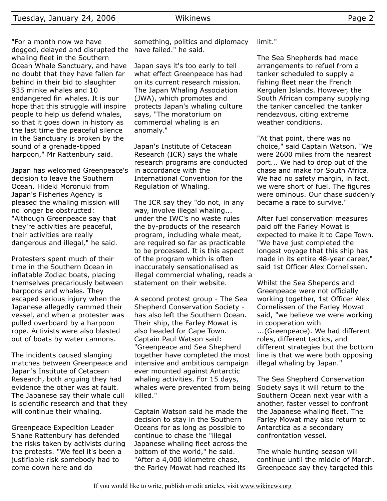"For a month now we have dogged, delayed and disrupted the have failed." he said. whaling fleet in the Southern Ocean Whale Sanctuary, and have no doubt that they have fallen far behind in their bid to slaughter 935 minke whales and 10 endangered fin whales. It is our hope that this struggle will inspire people to help us defend whales, so that it goes down in history as the last time the peaceful silence in the Sanctuary is broken by the sound of a grenade-tipped harpoon," Mr Rattenbury said.

Japan has welcomed Greenpeace's decision to leave the Southern Ocean. Hideki Moronuki from Japan's Fisheries Agency is pleased the whaling mission will no longer be obstructed: "Although Greenpeace say that they're activities are peaceful, their activities are really dangerous and illegal," he said.

Protesters spent much of their time in the Southern Ocean in inflatable Zodiac boats, placing themselves precariously between harpoons and whales. They escaped serious injury when the Japanese allegedly rammed their vessel, and when a protester was pulled overboard by a harpoon rope. Activists were also blasted out of boats by water cannons.

The incidents caused slanging matches between Greenpeace and Japan's Institute of Cetacean Research, both arguing they had evidence the other was at fault. The Japanese say their whale cull is scientific research and that they will continue their whaling.

Greenpeace Expedition Leader Shane Rattenbury has defended the risks taken by activists during the protests. "We feel it's been a justifiable risk somebody had to come down here and do

something, politics and diplomacy

Japan says it's too early to tell what effect Greenpeace has had on its current research mission. The Japan Whaling Association (JWA), which promotes and protects Japan's whaling culture says, "The moratorium on commercial whaling is an anomaly."

Japan's Institute of Cetacean Research (ICR) says the whale research programs are conducted in accordance with the International Convention for the Regulation of Whaling.

The ICR say they "do not, in any way, involve illegal whaling... under the IWC's no waste rules the by-products of the research program, including whale meat, are required so far as practicable to be processed. It is this aspect of the program which is often inaccurately sensationalised as illegal commercial whaling, reads a statement on their website.

A second protest group - The Sea Shepherd Conservation Society has also left the Southern Ocean. Their ship, the Farley Mowat is also headed for Cape Town. Captain Paul Watson said: "Greenpeace and Sea Shepherd together have completed the most intensive and ambitious campaign ever mounted against Antarctic whaling activities. For 15 days, whales were prevented from being killed."

Captain Watson said he made the decision to stay in the Southern Oceans for as long as possible to continue to chase the "illegal Japanese whaling fleet across the bottom of the world," he said. "After a 4,000 kilometre chase, the Farley Mowat had reached its

limit."

The Sea Shepherds had made arrangements to refuel from a tanker scheduled to supply a fishing fleet near the French Kergulen Islands. However, the South African company supplying the tanker cancelled the tanker rendezvous, citing extreme weather conditions.

"At that point, there was no choice," said Captain Watson. "We were 2600 miles from the nearest port... We had to drop out of the chase and make for South Africa. We had no safety margin, in fact, we were short of fuel. The figures were ominous. Our chase suddenly became a race to survive."

After fuel conservation measures paid off the Farley Mowat is expected to make it to Cape Town. "We have just completed the longest voyage that this ship has made in its entire 48-year career," said 1st Officer Alex Cornelissen.

Whilst the Sea Sheperds and Greenpeace were not officially working together, 1st Officer Alex Cornelissen of the Farley Mowat said, "we believe we were working in cooperation with

...(Greenpeace). We had different roles, different tactics, and different strategies but the bottom line is that we were both opposing illegal whaling by Japan."

The Sea Shepherd Conservation Society says it will return to the Southern Ocean next year with a another, faster vessel to confront the Japanese whaling fleet. The Farley Mowat may also return to Antarctica as a secondary confrontation vessel.

The whale hunting season will continue until the middle of March. Greenpeace say they targeted this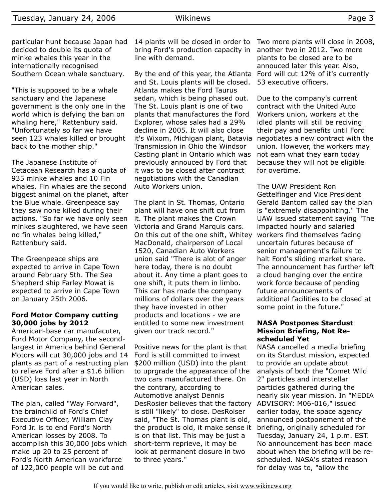particular hunt because Japan had decided to double its quota of minke whales this year in the internationally recognised Southern Ocean whale sanctuary.

"This is supposed to be a whale sanctuary and the Japanese government is the only one in the world which is defying the ban on whaling here," Rattenbury said. "Unfortunately so far we have seen 123 whales killed or brought back to the mother ship."

The Japanese Institute of Cetacean Research has a quota of 935 minke whales and 10 Fin whales. Fin whales are the second biggest animal on the planet, after the Blue whale. Greenpeace say they saw none killed during their actions. "So far we have only seen minkes slaughtered, we have seen no fin whales being killed," Rattenbury said.

The Greenpeace ships are expected to arrive in Cape Town around February 5th. The Sea Shepherd ship Farley Mowat is expected to arrive in Cape Town on January 25th 2006.

#### **Ford Motor Company cutting 30,000 jobs by 2012**

American-base car manufacuter, Ford Motor Company, the secondlargest in America behind General Motors will cut 30,000 jobs and 14 plants as part of a restructing plan to relieve Ford after a \$1.6 billion (USD) loss last year in North American sales.

The plan, called "Way Forward", the brainchild of Ford's Chief Executive Officer, William Clay Ford Jr. is to end Ford's North American losses by 2008. To accomplish this 30,000 jobs which make up 20 to 25 percent of Ford's North American workforce of 122,000 people will be cut and

14 plants will be closed in order to bring Ford's production capacity in line with demand.

By the end of this year, the Atlanta and St. Louis plants will be closed. Atlanta makes the Ford Taurus sedan, which is being phased out. The St. Louis plant is one of two plants that manufactures the Ford Explorer, whose sales had a 29% decline in 2005. It will also close it's Wixom, Michigan plant, Batavia Transmission in Ohio the Windsor Casting plant in Ontario which was previously annouced by Ford that it was to be closed after contract negotiations with the Canadian Auto Workers union.

The plant in St. Thomas, Ontario plant will have one shift cut from it. The plant makes the Crown Victoria and Grand Marquis cars. On this cut of the one shift, Whitey MacDonald, chairperson of Local 1520, Canadian Auto Workers union said "There is alot of anger here today, there is no doubt about it. Any time a plant goes to one shift, it puts them in limbo. This car has made the company millions of dollars over the years they have invested in other products and locations - we are entitled to some new investment given our track record."

Positive news for the plant is that Ford is still committed to invest \$200 million (USD) into the plant to uprgrade the appearance of the two cars manufactured there. On the contrary, according to Automotive analyst Dennis DesRosier believes that the factory is still "likely" to close. DesRoiser said, "The St. Thomas plant is old, the product is old, it make sense it is on that list. This may be just a short-term reprieve, it may be look at permanent closure in two to three years."

Two more plants will close in 2008, another two in 2012. Two more plants to be closed are to be annouced later this year. Also, Ford will cut 12% of it's currently 53 executive officers.

Due to the company's current contract with the United Auto Workers union, workers at the idled plants will still be reciving their pay and benefits until Ford negotiates a new contract with the union. However, the workers may not earn what they earn today because they will not be eligible for overtime.

The UAW President Ron Gettelfinger and Vice President Gerald Bantom called say the plan is "extremely disappointing." The UAW issued statement saying "The impacted hourly and salaried workers find themselves facing uncertain futures because of senior management's failure to halt Ford's sliding market share. The announcement has further left a cloud hanging over the entire work force because of pending future announcements of additional facilities to be closed at some point in the future."

#### **NASA Postpones Stardust Mission Briefing, Not Rescheduled Yet**

NASA cancelled a media briefing on its Stardust mission, expected to provide an update about analysis of both the "Comet Wild 2" particles and interstellar particles gathered during the nearly six year mission. In "MEDIA ADVISORY: M06-016," issued earlier today, the space agency announced postponement of the briefing, originally scheduled for Tuesday, January 24, 1 p.m. EST. No announcement has been made about when the briefing will be rescheduled. NASA's stated reason for delay was to, "allow the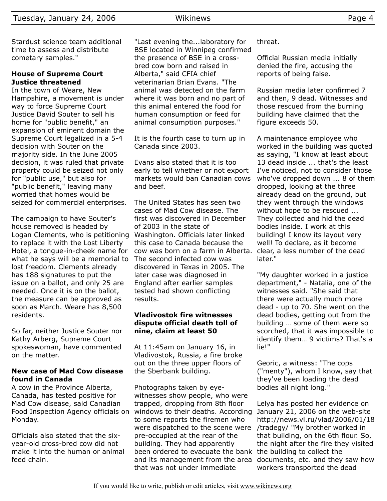Stardust science team additional time to assess and distribute cometary samples."

## **House of Supreme Court Justice threatened**

In the town of Weare, New Hampshire, a movement is under way to force Supreme Court Justice David Souter to sell his home for "public benefit," an expansion of eminent domain the Supreme Court legalized in a 5-4 decision with Souter on the majority side. In the June 2005 decision, it was ruled that private property could be seized not only for "public use," but also for "public benefit," leaving many worried that homes would be seized for commercial enterprises.

The campaign to have Souter's house removed is headed by Logan Clements, who is petitioning to replace it with the Lost Liberty Hotel, a tongue-in-cheek name for what he says will be a memorial to lost freedom. Clements already has 188 signatures to put the issue on a ballot, and only 25 are needed. Once it is on the ballot, the measure can be approved as soon as March. Weare has 8,500 residents.

So far, neither Justice Souter nor Kathy Arberg, Supreme Court spokeswoman, have commented on the matter.

## **New case of Mad Cow disease found in Canada**

A cow in the Province Alberta, Canada, has tested positive for Mad Cow disease, said Canadian Food Inspection Agency officials on Monday.

Officials also stated that the sixyear-old cross-bred cow did not make it into the human or animal feed chain.

"Last evening the...laboratory for BSE located in Winnipeg confirmed the presence of BSE in a crossbred cow born and raised in Alberta," said CFIA chief veterinarian Brian Evans. "The animal was detected on the farm where it was born and no part of this animal entered the food for human consumption or feed for animal consumption purposes."

It is the fourth case to turn up in Canada since 2003.

Evans also stated that it is too early to tell whether or not export markets would ban Canadian cows and beef.

The United States has seen two cases of Mad Cow disease. The first was discovered in December of 2003 in the state of Washington. Officials later linked this case to Canada because the cow was born on a farm in Alberta. The second infected cow was discovered in Texas in 2005. The later case was diagnosed in England after earlier samples tested had shown conflicting results.

#### **Vladivostok fire witnesses dispute official death toll of nine, claim at least 50**

At 11:45am on January 16, in Vladivostok, Russia, a fire broke out on the three upper floors of the Sberbank building.

Photographs taken by eyewitnesses show people, who were trapped, dropping from 8th floor windows to their deaths. According to some reports the firemen who were dispatched to the scene were pre-occupied at the rear of the building. They had apparently been ordered to evacuate the bank the building to collect the and its management from the area documents, etc. and they saw how that was not under immediate

threat.

Official Russian media initially denied the fire, accusing the reports of being false.

Russian media later confirmed 7 and then, 9 dead. Witnesses and those rescued from the burning building have claimed that the figure exceeds 50.

A maintenance employee who worked in the building was quoted as saying, "I know at least about 13 dead inside ... that's the least I've noticed, not to consider those who've dropped down ... 8 of them dropped, looking at the three already dead on the ground, but they went through the windows without hope to be rescued ... They collected and hid the dead bodies inside. I work at this building! I know its layout very well! To declare, as it become clear, a less number of the dead later."

"My daughter worked in a justice department," - Natalia, one of the witnesses said. "She said that there were actually much more dead - up to 70. She went on the dead bodies, getting out from the building … some of them were so scorched, that it was impossible to identify them… 9 victims? That's a lie!"

Georic, a witness: "The cops ("menty"), whom I know, say that they've been loading the dead bodies all night long."

Lelya has posted her evidence on January 21, 2006 on the web-site http://news.vl.ru/vlad/2006/01/18 /tradegy/ "My brother worked in that building, on the 6th flour. So, the night after the fire they visited workers transported the dead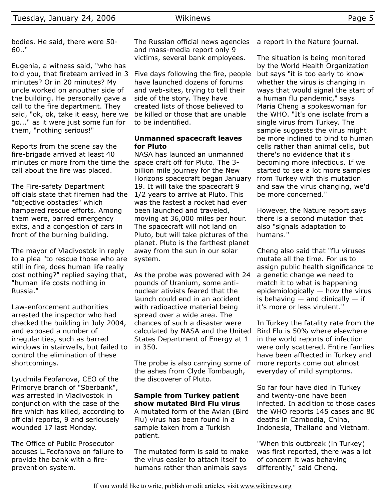Eugenia, a witness said, "who has told you, that fireteam arrived in 3 minutes? Or in 20 minutes? My uncle worked on anouther side of the building. He personally gave a call to the fire department. They said, "ok, ok, take it easy, here we go..." as it were just some fun for them, "nothing serious!"

Reports from the scene say the fire-brigade arrived at least 40 minutes or more from the time the space craft off for Pluto. The 3 call about the fire was placed.

The Fire-safety Department officials state that firemen had the "objective obstacles" which hampered rescue efforts. Among them were, barred emergency exits, and a congestion of cars in front of the burning building.

The mayor of Vladivostok in reply to a plea "to rescue those who are still in fire, does human life really cost nothing?" replied saying that, "human life costs nothing in Russia."

Law-enforcement authorities arrested the inspector who had checked the building in July 2004, and exposed a number of irregularities, such as barred windows in stairwells, but failed to control the elimination of these shortcomings.

Lyudmila Feofanova, CEO of the Primorye branch of "Sberbank", was arrested in Vladivostok in conjunction with the case of the fire which has killed, according to official reports, 9 and seriousely wounded 17 last Monday.

The Office of Public Prosecutor accuses L.Feofanova on failure to provide the bank with a fireprevention system.

The Russian official news agencies and mass-media report only 9 victims, several bank employees.

Five days following the fire, people have launched dozens of forums and web-sites, trying to tell their side of the story. They have created lists of those believed to be killed or those that are unable to be indentified.

## **Unmanned spacecraft leaves for Pluto**

NASA has launced an unmanned billion mile journey for the New Horizons spacecraft began January 19. It will take the spacecraft 9 1/2 years to arrive at Pluto. This was the fastest a rocket had ever been launched and traveled, moving at 36,000 miles per hour. The spacecraft will not land on Pluto, but will take pictures of the planet. Pluto is the farthest planet away from the sun in our solar system.

As the probe was powered with 24 pounds of Uranium, some antinuclear ativists feared that the launch could end in an accident with radioactive material being spread over a wide area. The chances of such a disaster were calculated by NASA and the United States Department of Energy at 1 in 350.

The probe is also carrying some of the ashes from Clyde Tombaugh, the discoverer of Pluto.

## **Sample from Turkey patient show mutated Bird Flu virus**

A mutated form of the Avian (Bird Flu) virus has been found in a sample taken from a Turkish patient.

The mutated form is said to make the virus easier to attach itself to humans rather than animals says

a report in the Nature journal.

The situation is being monitored by the World Health Organization but says "it is too early to know whether the virus is changing in ways that would signal the start of a human flu pandemic," says Maria Cheng a spokeswoman for the WHO. "It's one isolate from a single virus from Turkey. The sample suggests the virus might be more inclined to bind to human cells rather than animal cells, but there's no evidence that it's becoming more infectious. If we started to see a lot more samples from Turkey with this mutation and saw the virus changing, we'd be more concerned."

However, the Nature report says there is a second mutation that also "signals adaptation to humans."

Cheng also said that "flu viruses mutate all the time. For us to assign public health significance to a genetic change we need to match it to what is happening epidemiologically — how the virus is behaving  $-$  and clinically  $-$  if it's more or less virulent."

In Turkey the fatality rate from the Bird Flu is 50% where elsewhere in the world reports of infection were only scattered. Entire famlies have been afftected in Turkey and more reports come out almost everyday of mild symptoms.

So far four have died in Turkey and twenty-one have been infected. In addition to those cases the WHO reports 145 cases and 80 deaths in Cambodia, China, Indonesia, Thailand and Vietnam.

"When this outbreak (in Turkey) was first reported, there was a lot of concern it was behaving differently," said Cheng.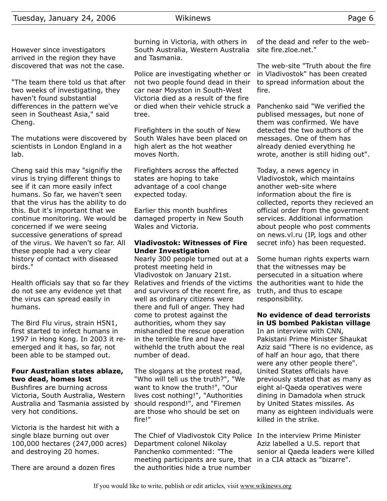"The team there told us that after two weeks of investigating, they haven't found substantial differences in the pattern we've seen in Southeast Asia," said Cheng.

The mutations were discovered by scientists in London England in a lab.

Cheng said this may "signifiy the virus is trying different things to see if it can more easily infect humans. So far, we haven't seen that the virus has the ability to do this. But it's important that we continue monitoring. We would be concerned if we were seeing successive generations of spread of the virus. We haven't so far. All these people had a very clear history of contact with diseased birds."

Health officials say that so far they do not see any evidence yet that the virus can spread easily in humans.

The Bird Flu virus, strain H5N1, first started to infect humans in 1997 in Hong Kong. In 2003 it reemerged and it has, so far, not been able to be stamped out.

## **Four Australian states ablaze, two dead, homes lost**

Bushfires are burning across Victoria, South Australia, Western Australia and Tasmania assisted by very hot conditions.

Victoria is the hardest hit with a single blaze burning out over 100,000 hectares (247,000 acres) and destroying 20 homes.

There are around a dozen fires

burning in Victoria, with others in South Australia, Western Australia and Tasmania.

Police are investigating whether or not two people found dead in their car near Moyston in South-West Victoria died as a result of the fire or died when their vehicle struck a tree.

Firefighters in the south of New South Wales have been placed on high alert as the hot weather moves North.

Firefighters across the affected states are hoping to take advantage of a cool change expected today.

Earlier this month bushfires damaged property in New South Wales and Victoria.

## **Vladivostok: Witnesses of Fire Under Investigation**

Nearly 300 people turned out at a protest meeting held in Vladivostok on January 21st. Relatives and friends of the victims the authorities want to hide the and survivors of the recent fire, as well as ordinary citizens were there and full of anger. They had come to protest against the authorities, whom they say mishandled the rescue operation in the terrible fire and have withehld the truth about the real number of dead.

The slogans at the protest read, "Who will tell us the truth?", "We want to know the truth!", "Our lives cost nothing!", "Authorities should respond!", and "Firemen are those who should be set on fire!"

The Chief of Vladivostok City Police In the interview Prime Minister Department colonel Nikolay Panchenko commented: "The meeting participants are sure, that in a CIA attack as "bizarre". the authorities hide a true number

of the dead and refer to the website fire.zloe.net."

The web-site "Truth about the fire in Vladivostok" has been created to spread information about the fire.

Panchenko said "We verified the publised messages, but none of them was confirmed. We have detected the two authors of the messages. One of them has already denied everything he wrote, another is still hiding out".

Today, a news agency in Vladivostok, which maintains another web-site where information about the fire is collected, reports they recieved an official order from the goverment services. Additional information about people who post comments on news.vl.ru (IP, logs and other secret info) has been requested.

Some human rights experts warn that the witnesses may be persecuted in a situation where truth, and thus to escape responsibility.

# **No evidence of dead terrorists in US bombed Pakistan village**

In an interview with CNN, Pakistani Prime Minister Shaukat Aziz said "There is no evidence, as of half an hour ago, that there were any other people there". United States officials have previously stated that as many as eight al-Qaeda operatives were dining in Damadola when struck by United States missiles. As many as eighteen individuals were killed in the strike.

Aziz labelled a U.S. report that senior al Qaeda leaders were killed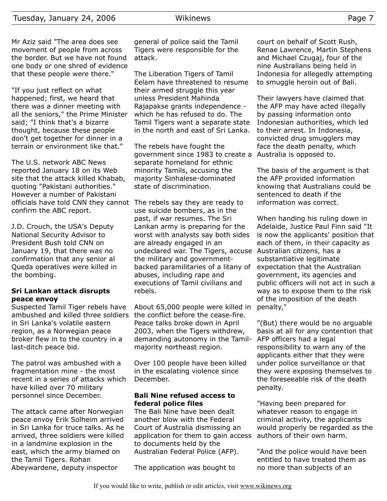Mr Aziz said "The area does see movement of people from across the border. But we have not found one body or one shred of evidence that these people were there."

"If you just reflect on what happened; first, we heard that there was a dinner meeting with all the seniors," the Prime Minister said; "I think that's a bizarre thought, because these people don't get together for dinner in a terrain or environment like that."

The U.S. network ABC News reported January 18 on its Web site that the attack killed Khabab, quoting "Pakistani authorities." However a number of Pakistani officials have told CNN they cannot The rebels say they are ready to confirm the ABC report.

J.D. Crouch, the USA's Deputy National Security Advisor to President Bush told CNN on January 19, that there was no confirmation that any senior al Queda operatives were killed in the bombing.

#### **Sri Lankan attack disrupts peace envoy**

Suspected Tamil Tiger rebels have ambushed and killed three soldiers in Sri Lanka's volatile eastern region, as a Norwegian peace broker flew in to the country in a last-ditch peace bid.

The patrol was ambushed with a fragmentation mine - the most recent in a series of attacks which have killed over 70 military personnel since December.

The attack came after Norwegian peace envoy Erik Solheim arrived in Sri Lanka for truce talks. As he arrived, three soldiers were killed in a landmine explosion in the east, which the army blamed on the Tamil Tigers. Rohan Abeywardene, deputy inspector

general of police said the Tamil Tigers were responsible for the attack.

The Liberation Tigers of Tamil Eelam have threatened to resume their armed struggle this year unless President Mahinda Rajapakse grants independence which he has refused to do. The Tamil Tigers want a separate state in the north and east of Sri Lanka.

The rebels have fought the government since 1983 to create a Australia is opposed to. separate homeland for ethnic minority Tamils, accusing the majority Sinhalese-dominated state of discrimination.

use suicide bombers, as in the past, if war resumes. The Sri Lankan army is preparing for the worst with analysts say both sides are already engaged in an undeclared war. The Tigers, accuse Australian citizens, has a the military and governmentbacked paramilitaries of a litany of abuses, including rape and executions of Tamil civilians and rebels.

About 65,000 people were killed in the conflict before the cease-fire. Peace talks broke down in April 2003, when the Tigers withdrew, demanding autonomy in the Tamilmajority northeast region.

Over 100 people have been killed in the escalating violence since December.

#### **Bali Nine refused access to federal police files**

The Bali Nine have been dealt another blow with the Federal Court of Australia dismissing an application for them to gain access to documents held by the Australian Federal Police (AFP).

The application was bought to

court on behalf of Scott Rush, Renae Lawrence, Martin Stephens and Michael Czugaj, four of the nine Australians being held in Indonesia for allegedly attempting to smuggle heroin out of Bali.

Their lawyers have claimed that the AFP may have acted illegally by passing information onto Indonesian authorities, which led to their arrest. In Indonesia, convicted drug smugglers may face the death penalty, which

The basis of the argument is that the AFP provided information knowing that Australians could be sentenced to death if the information was correct.

When handing his ruling down in Adelaide, Justice Paul Finn said "It is now the applicants' position that each of them, in their capacity as substantiative legitimate expectation that the Australian government, its agencies and public officers will not act in such a way as to expose them to the risk of the imposition of the death penalty,"

"(But) there would be no arguable basis at all for any contention that AFP officers had a legal responsibility to warn any of the applicants either that they were under police surveillance or that they were exposing themselves to the foreseeable risk of the death penalty.

"Having been prepared for whatever reason to engage in criminal activity, the applicants would properly be regarded as the authors of their own harm.

"And the police would have been entitled to have treated them as no more than subjects of an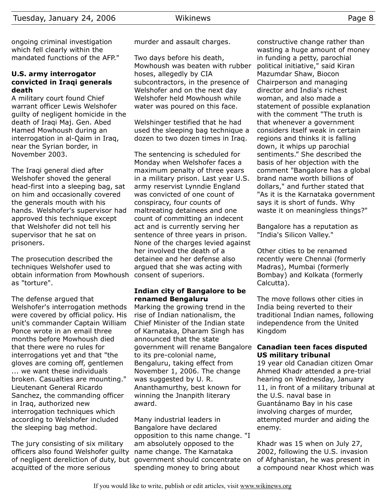ongoing criminal investigation which fell clearly within the mandated functions of the AFP."

#### **U.S. army interrogator convicted in Iraqi generals death**

A military court found Chief warrant officer Lewis Welshofer guilty of negligent homicide in the death of Iraqi Maj. Gen. Abed Hamed Mowhoush during an interrogation in al-Qaim in Iraq, near the Syrian border, in November 2003.

The Iraqi general died after Welshofer shoved the general head-first into a sleeping bag, sat on him and occasionally covered the generals mouth with his hands. Welshofer's supervisor had approved this technique except that Welshofer did not tell his supervisor that he sat on prisoners.

The prosecution described the techniques Welshofer used to obtain information from Mowhoush consent of superiors. as "torture".

The defense argued that Welshofer's interrogation methods were covered by official policy. His unit's commander Captain William Ponce wrote in an email three months before Mowhoush died that there were no rules for interrogations yet and that "the gloves are coming off, gentlemen ... we want these individuals broken. Casualties are mounting." Lieutenant General Ricardo Sanchez, the commanding officer in Iraq, authorized new interrogation techniques which according to Welshofer included the sleeping bag method.

The jury consisting of six military officers also found Welshofer guilty of negligent dereliction of duty, but government should concentrate on acquitted of the more serious

murder and assault charges.

Two days before his death, Mowhoush was beaten with rubber hoses, allegedly by CIA subcontractors, in the presence of Welshofer and on the next day Welshofer held Mowhoush while water was poured on this face.

Welshinger testified that he had used the sleeping bag technique a dozen to two dozen times in Iraq.

The sentencing is scheduled for Monday when Welshofer faces a maximum penalty of three years in a military prison. Last year U.S. army reservist Lynndie England was convicted of one count of conspiracy, four counts of maltreating detainees and one count of committing an indecent act and is currently serving her sentence of three years in prison. None of the charges levied against her involved the death of a detainee and her defense also argued that she was acting with

## **Indian city of Bangalore to be renamed Bengaluru**

Marking the growing trend in the rise of Indian nationalism, the Chief Minister of the Indian state of Karnataka, Dharam Singh has announced that the state government will rename Bangalore to its pre-colonial name, Bengaluru, taking effect from November 1, 2006. The change was suggested by U. R. Ananthamurthy, best known for winning the Jnanpith literary award.

Many industrial leaders in Bangalore have declared opposition to this name change. "I am absolutely opposed to the name change. The Karnataka spending money to bring about

constructive change rather than wasting a huge amount of money in funding a petty, parochial political initiative," said Kiran Mazumdar Shaw, Biocon Chairperson and managing director and India's richest woman, and also made a statement of possible explanation with the comment "The truth is that whenever a government considers itself weak in certain regions and thinks it is falling down, it whips up parochial sentiments." She described the basis of her objection with the comment "Bangalore has a global brand name worth billions of dollars," and further stated that "As it is the Karnataka government says it is short of funds. Why waste it on meaningless things?"

Bangalore has a reputation as "India's Silicon Valley."

Other cities to be renamed recently were Chennai (formerly Madras), Mumbai (formerly Bombay) and Kolkata (formerly Calcutta).

The move follows other cities in India being reverted to their traditional Indian names, following independence from the United Kingdom

## **Canadian teen faces disputed US military tribunal**

19 year old Canadian citizen Omar Ahmed Khadr attended a pre-trial hearing on Wednesday, January 11, in front of a military tribunal at the U.S. naval base in Guantánamo Bay in his case involving charges of murder, attempted murder and aiding the enemy.

Khadr was 15 when on July 27, 2002, following the U.S. invasion of Afghanistan, he was present in a compound near Khost which was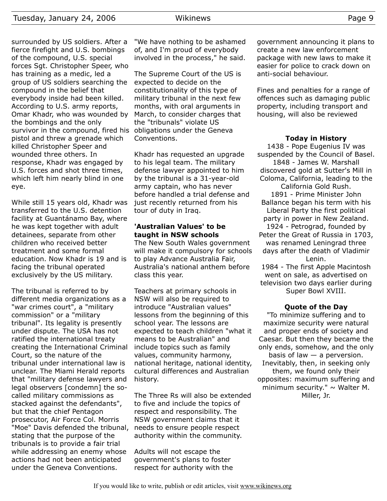surrounded by US soldiers. After a fierce firefight and U.S. bombings of the compound, U.S. special forces Sgt. Christopher Speer, who has training as a medic, led a group of US soldiers searching the compound in the belief that everybody inside had been killed. According to U.S. army reports, Omar Khadr, who was wounded by the bombings and the only survivor in the compound, fired his obligations under the Geneva pistol and threw a grenade which killed Christopher Speer and wounded three others. In response, Khadr was engaged by U.S. forces and shot three times, which left him nearly blind in one eye.

While still 15 years old, Khadr was transferred to the U.S. detention facility at Guantánamo Bay, where he was kept together with adult detainees, separate from other children who received better treatment and some formal education. Now Khadr is 19 and is facing the tribunal operated exclusively by the US military.

The tribunal is referred to by different media organizations as a "war crimes court", a "military commission" or a "military tribunal". Its legality is presently under dispute. The USA has not ratified the international treaty creating the International Criminal Court, so the nature of the tribunal under international law is unclear. The Miami Herald reports that "military defense lawyers and legal observers [condemn] the socalled military commissions as stacked against the defendants", but that the chief Pentagon prosecutor, Air Force Col. Morris "Moe" Davis defended the tribunal, stating that the purpose of the tribunals is to provide a fair trial while addressing an enemy whose actions had not been anticipated under the Geneva Conventions.

"We have nothing to be ashamed of, and I'm proud of everybody involved in the process," he said.

The Supreme Court of the US is expected to decide on the constitutionality of this type of military tribunal in the next few months, with oral arguments in March, to consider charges that the "tribunals" violate US Conventions.

Khadr has requested an upgrade to his legal team. The military defense lawyer appointed to him by the tribunal is a 31-year-old army captain, who has never before handled a trial defense and just recently returned from his tour of duty in Iraq.

#### **'Australian Values' to be taught in NSW schools**

The New South Wales government will make it compulsory for schools to play Advance Australia Fair, Australia's national anthem before class this year.

Teachers at primary schools in NSW will also be required to introduce "Australian values" lessons from the beginning of this school year. The lessons are expected to teach children "what it means to be Australian" and include topics such as family values, community harmony, national heritage, national identity, cultural differences and Australian history.

The Three Rs will also be extended to five and include the topics of respect and responsibility. The NSW government claims that it needs to ensure people respect authority within the community.

Adults will not escape the government's plans to foster respect for authority with the government announcing it plans to create a new law enforcement package with new laws to make it easier for police to crack down on anti-social behaviour.

Fines and penalties for a range of offences such as damaging public property, including transport and housing, will also be reviewed

#### **Today in History**

1438 - Pope Eugenius IV was suspended by the Council of Basel. 1848 - James W. Marshall discovered gold at Sutter's Mill in Coloma, California, leading to the California Gold Rush. 1891 - Prime Minister John Ballance began his term with his Liberal Party the first political party in power in New Zealand. 1924 - Petrograd, founded by Peter the Great of Russia in 1703, was renamed Leningrad three days after the death of Vladimir Lenin. 1984 - The first Apple Macintosh went on sale, as advertised on television two days earlier during Super Bowl XVIII.

## **Quote of the Day**

"To minimize suffering and to maximize security were natural and proper ends of society and Caesar. But then they became the only ends, somehow, and the only basis of law — a perversion. Inevitably, then, in seeking only them, we found only their opposites: maximum suffering and minimum security."  $\sim$  Walter M. Miller, Jr.